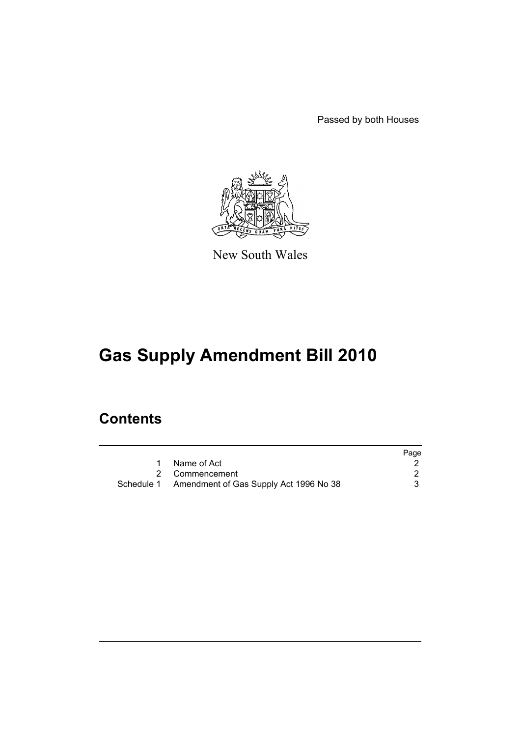Passed by both Houses



New South Wales

# **Gas Supply Amendment Bill 2010**

## **Contents**

|                                                   | Page |
|---------------------------------------------------|------|
| Name of Act                                       |      |
| 2 Commencement                                    |      |
| Schedule 1 Amendment of Gas Supply Act 1996 No 38 |      |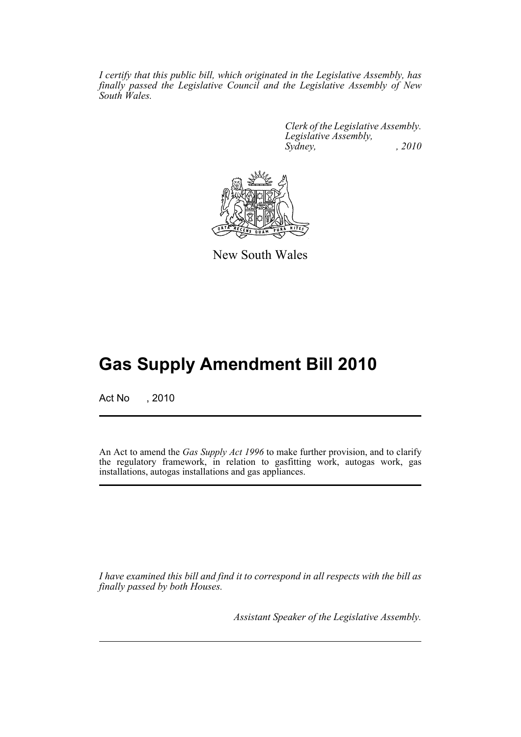*I certify that this public bill, which originated in the Legislative Assembly, has finally passed the Legislative Council and the Legislative Assembly of New South Wales.*

> *Clerk of the Legislative Assembly. Legislative Assembly, Sydney, , 2010*



New South Wales

## **Gas Supply Amendment Bill 2010**

Act No , 2010

An Act to amend the *Gas Supply Act 1996* to make further provision, and to clarify the regulatory framework, in relation to gasfitting work, autogas work, gas installations, autogas installations and gas appliances.

*I have examined this bill and find it to correspond in all respects with the bill as finally passed by both Houses.*

*Assistant Speaker of the Legislative Assembly.*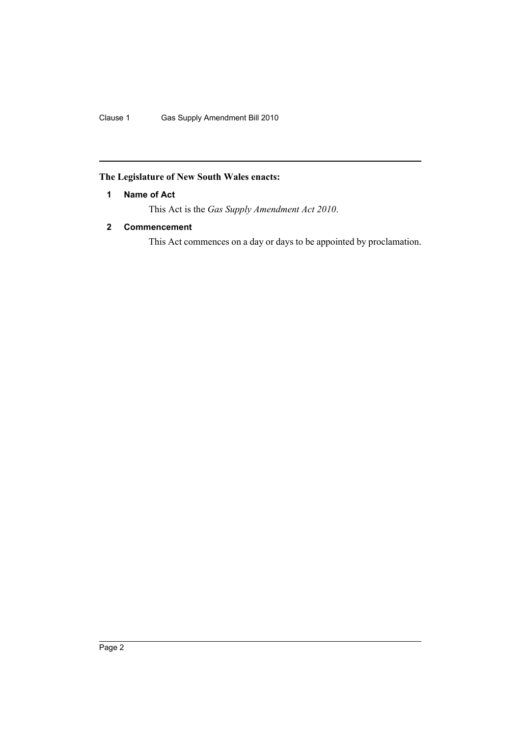Clause 1 Gas Supply Amendment Bill 2010

## <span id="page-2-0"></span>**The Legislature of New South Wales enacts:**

### **1 Name of Act**

This Act is the *Gas Supply Amendment Act 2010*.

### <span id="page-2-1"></span>**2 Commencement**

This Act commences on a day or days to be appointed by proclamation.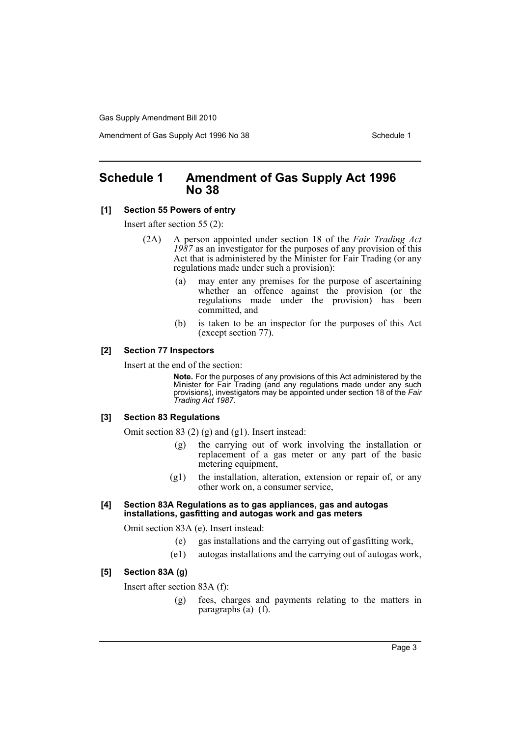Gas Supply Amendment Bill 2010

Amendment of Gas Supply Act 1996 No 38 Schedule 1

## <span id="page-3-0"></span>**Schedule 1 Amendment of Gas Supply Act 1996 No 38**

#### **[1] Section 55 Powers of entry**

Insert after section 55 (2):

- (2A) A person appointed under section 18 of the *Fair Trading Act 1987* as an investigator for the purposes of any provision of this Act that is administered by the Minister for Fair Trading (or any regulations made under such a provision):
	- (a) may enter any premises for the purpose of ascertaining whether an offence against the provision (or the regulations made under the provision) has been committed, and
	- (b) is taken to be an inspector for the purposes of this Act (except section 77).

#### **[2] Section 77 Inspectors**

Insert at the end of the section:

**Note.** For the purposes of any provisions of this Act administered by the Minister for Fair Trading (and any regulations made under any such provisions), investigators may be appointed under section 18 of the *Fair Trading Act 1987*.

#### **[3] Section 83 Regulations**

Omit section 83 (2) (g) and (g1). Insert instead:

- (g) the carrying out of work involving the installation or replacement of a gas meter or any part of the basic metering equipment,
- (g1) the installation, alteration, extension or repair of, or any other work on, a consumer service,

#### **[4] Section 83A Regulations as to gas appliances, gas and autogas installations, gasfitting and autogas work and gas meters**

Omit section 83A (e). Insert instead:

- (e) gas installations and the carrying out of gasfitting work,
- (e1) autogas installations and the carrying out of autogas work,

#### **[5] Section 83A (g)**

Insert after section 83A (f):

(g) fees, charges and payments relating to the matters in paragraphs  $(a)$ – $(f)$ .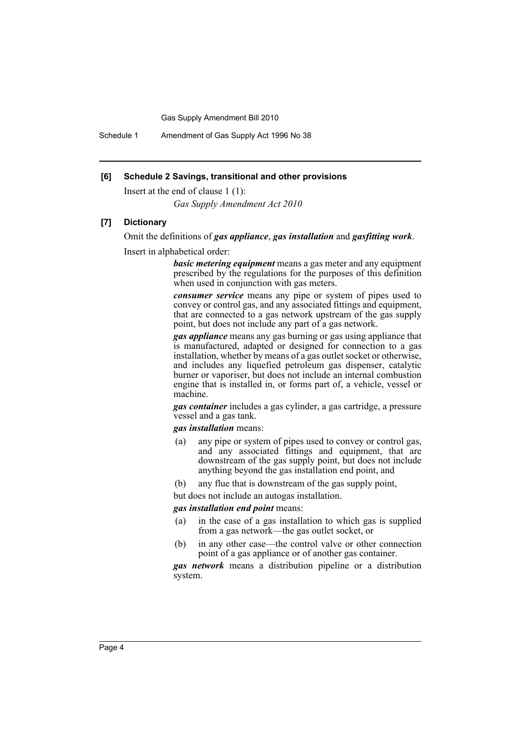Gas Supply Amendment Bill 2010

Schedule 1 Amendment of Gas Supply Act 1996 No 38

#### **[6] Schedule 2 Savings, transitional and other provisions**

Insert at the end of clause 1 (1):

*Gas Supply Amendment Act 2010*

#### **[7] Dictionary**

Omit the definitions of *gas appliance*, *gas installation* and *gasfitting work*.

Insert in alphabetical order:

*basic metering equipment* means a gas meter and any equipment prescribed by the regulations for the purposes of this definition when used in conjunction with gas meters.

*consumer service* means any pipe or system of pipes used to convey or control gas, and any associated fittings and equipment, that are connected to a gas network upstream of the gas supply point, but does not include any part of a gas network.

*gas appliance* means any gas burning or gas using appliance that is manufactured, adapted or designed for connection to a gas installation, whether by means of a gas outlet socket or otherwise, and includes any liquefied petroleum gas dispenser, catalytic burner or vaporiser, but does not include an internal combustion engine that is installed in, or forms part of, a vehicle, vessel or machine.

*gas container* includes a gas cylinder, a gas cartridge, a pressure vessel and a gas tank.

*gas installation* means:

- (a) any pipe or system of pipes used to convey or control gas, and any associated fittings and equipment, that are downstream of the gas supply point, but does not include anything beyond the gas installation end point, and
- (b) any flue that is downstream of the gas supply point,

but does not include an autogas installation.

#### *gas installation end point* means:

- (a) in the case of a gas installation to which gas is supplied from a gas network—the gas outlet socket, or
- (b) in any other case—the control valve or other connection point of a gas appliance or of another gas container.

*gas network* means a distribution pipeline or a distribution system.